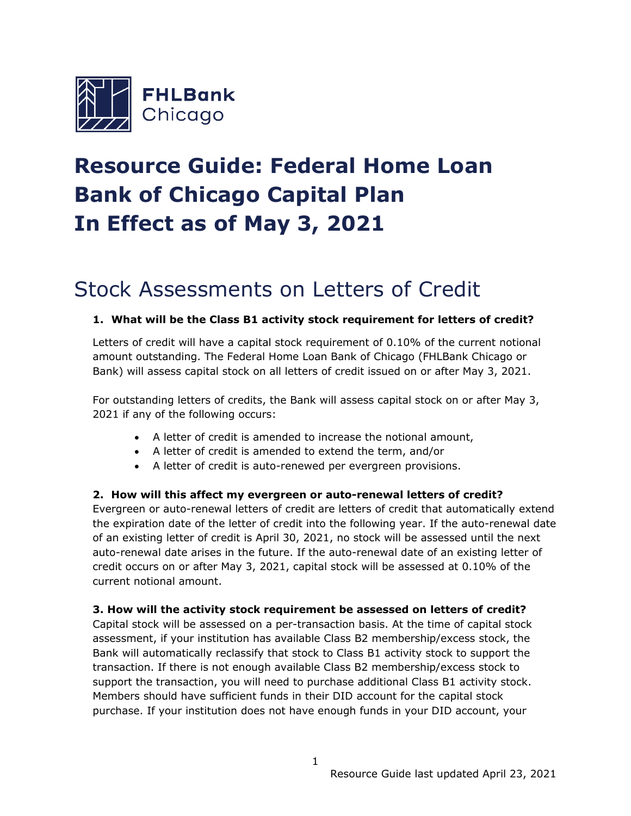

# **Resource Guide: Federal Home Loan Bank of Chicago Capital Plan In Effect as of May 3, 2021**

# Stock Assessments on Letters of Credit

# **1. What will be the Class B1 activity stock requirement for letters of credit?**

Letters of credit will have a capital stock requirement of 0.10% of the current notional amount outstanding. The Federal Home Loan Bank of Chicago (FHLBank Chicago or Bank) will assess capital stock on all letters of credit issued on or after May 3, 2021.

For outstanding letters of credits, the Bank will assess capital stock on or after May 3, 2021 if any of the following occurs:

- A letter of credit is amended to increase the notional amount,
- A letter of credit is amended to extend the term, and/or
- A letter of credit is auto-renewed per evergreen provisions.

# **2. How will this affect my evergreen or auto-renewal letters of credit?**

Evergreen or auto-renewal letters of credit are letters of credit that automatically extend the expiration date of the letter of credit into the following year. If the auto-renewal date of an existing letter of credit is April 30, 2021, no stock will be assessed until the next auto-renewal date arises in the future. If the auto-renewal date of an existing letter of credit occurs on or after May 3, 2021, capital stock will be assessed at 0.10% of the current notional amount.

### **3. How will the activity stock requirement be assessed on letters of credit?**

Capital stock will be assessed on a per-transaction basis. At the time of capital stock assessment, if your institution has available Class B2 membership/excess stock, the Bank will automatically reclassify that stock to Class B1 activity stock to support the transaction. If there is not enough available Class B2 membership/excess stock to support the transaction, you will need to purchase additional Class B1 activity stock. Members should have sufficient funds in their DID account for the capital stock purchase. If your institution does not have enough funds in your DID account, your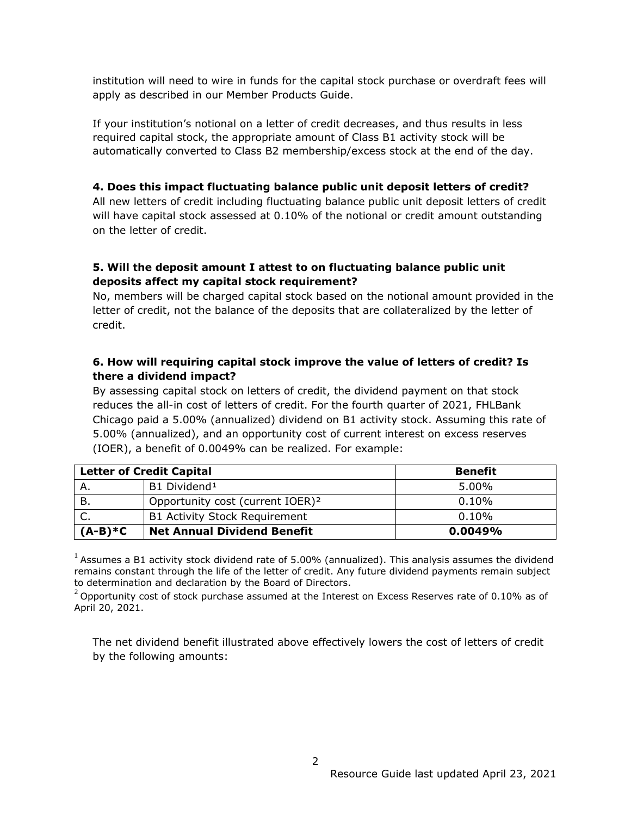institution will need to wire in funds for the capital stock purchase or overdraft fees will apply as described in our Member Products Guide.

If your institution's notional on a letter of credit decreases, and thus results in less required capital stock, the appropriate amount of Class B1 activity stock will be automatically converted to Class B2 membership/excess stock at the end of the day.

# **4. Does this impact fluctuating balance public unit deposit letters of credit?**

All new letters of credit including fluctuating balance public unit deposit letters of credit will have capital stock assessed at 0.10% of the notional or credit amount outstanding on the letter of credit.

# **5. Will the deposit amount I attest to on fluctuating balance public unit deposits affect my capital stock requirement?**

No, members will be charged capital stock based on the notional amount provided in the letter of credit, not the balance of the deposits that are collateralized by the letter of credit.

# **6. How will requiring capital stock improve the value of letters of credit? Is there a dividend impact?**

By assessing capital stock on letters of credit, the dividend payment on that stock reduces the all-in cost of letters of credit. For the fourth quarter of 2021, FHLBank Chicago paid a 5.00% (annualized) dividend on B1 activity stock. Assuming this rate of 5.00% (annualized), and an opportunity cost of current interest on excess reserves (IOER), a benefit of 0.0049% can be realized. For example:

|           | <b>Letter of Credit Capital</b>              | <b>Benefit</b> |
|-----------|----------------------------------------------|----------------|
| Α.        | B1 Dividend <sup>1</sup>                     | $5.00\%$       |
| В.        | Opportunity cost (current IOER) <sup>2</sup> | $0.10\%$       |
|           | <b>B1 Activity Stock Requirement</b>         | $0.10\%$       |
| $(A-B)*C$ | <b>Net Annual Dividend Benefit</b>           | 0.0049%        |

 $1$  Assumes a B1 activity stock dividend rate of 5.00% (annualized). This analysis assumes the dividend remains constant through the life of the letter of credit. Any future dividend payments remain subject to determination and declaration by the Board of Directors.

 $2$  Opportunity cost of stock purchase assumed at the Interest on Excess Reserves rate of 0.10% as of April 20, 2021.

The net dividend benefit illustrated above effectively lowers the cost of letters of credit by the following amounts: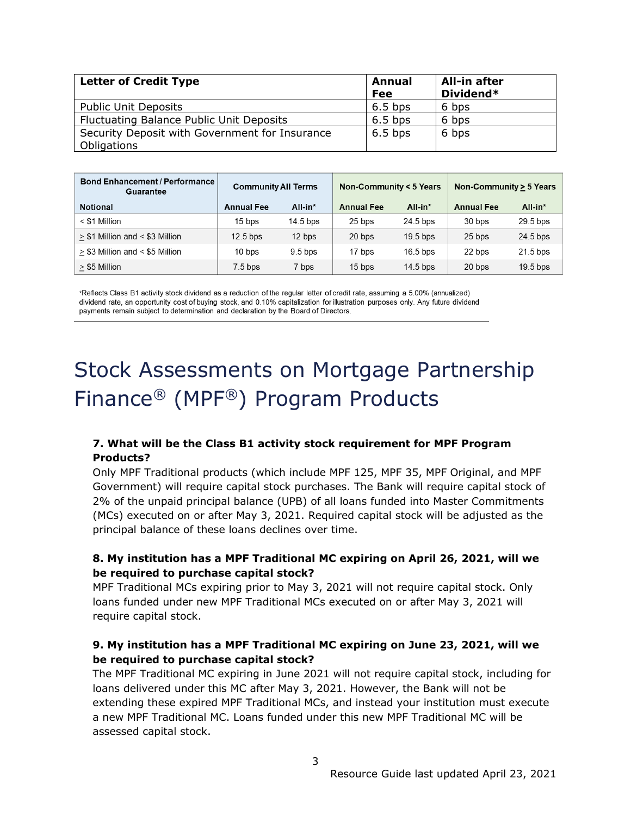| <b>Letter of Credit Type</b>                                  | Annual<br><b>Fee</b> | All-in after<br>Dividend* |
|---------------------------------------------------------------|----------------------|---------------------------|
| <b>Public Unit Deposits</b>                                   | $6.5$ bps            | 6 bps                     |
| Fluctuating Balance Public Unit Deposits                      | $6.5$ bps            | 6 bps                     |
| Security Deposit with Government for Insurance<br>Obligations | $6.5$ bps            | 6 bps                     |

| <b>Bond Enhancement / Performance</b><br>Guarantee | <b>Community All Terms</b> |            | Non-Community < 5 Years |            | Non-Community > 5 Years |            |
|----------------------------------------------------|----------------------------|------------|-------------------------|------------|-------------------------|------------|
| <b>Notional</b>                                    | <b>Annual Fee</b>          | $All-in*$  | <b>Annual Fee</b>       | $All-in*$  | <b>Annual Fee</b>       | $All-in*$  |
| $<$ \$1 Million                                    | $15$ bps                   | $14.5$ bps | 25 bps                  | 24.5 bps   | 30 bps                  | 29.5 bps   |
| $> $1$ Million and $< $3$ Million                  | $12.5$ bps                 | 12 bps     | 20 bps                  | $19.5$ bps | 25 bps                  | 24.5 bps   |
| $>$ \$3 Million and $<$ \$5 Million                | $10$ bps                   | $9.5$ bps  | 17 bps                  | $16.5$ bps | 22 bps                  | $21.5$ bps |
| > \$5 Million                                      | $7.5$ bps                  | 7 bps      | 15 bps                  | $14.5$ bps | 20 bps                  | $19.5$ bps |

\*Reflects Class B1 activity stock dividend as a reduction of the regular letter of credit rate, assuming a 5.00% (annualized) dividend rate, an opportunity cost of buying stock, and 0.10% capitalization for illustration purposes only. Any future dividend payments remain subject to determination and declaration by the Board of Directors.

# Stock Assessments on Mortgage Partnership Finance® (MPF®) Program Products

# **7. What will be the Class B1 activity stock requirement for MPF Program Products?**

Only MPF Traditional products (which include MPF 125, MPF 35, MPF Original, and MPF Government) will require capital stock purchases. The Bank will require capital stock of 2% of the unpaid principal balance (UPB) of all loans funded into Master Commitments (MCs) executed on or after May 3, 2021. Required capital stock will be adjusted as the principal balance of these loans declines over time.

# **8. My institution has a MPF Traditional MC expiring on April 26, 2021, will we be required to purchase capital stock?**

MPF Traditional MCs expiring prior to May 3, 2021 will not require capital stock. Only loans funded under new MPF Traditional MCs executed on or after May 3, 2021 will require capital stock.

### **9. My institution has a MPF Traditional MC expiring on June 23, 2021, will we be required to purchase capital stock?**

The MPF Traditional MC expiring in June 2021 will not require capital stock, including for loans delivered under this MC after May 3, 2021. However, the Bank will not be extending these expired MPF Traditional MCs, and instead your institution must execute a new MPF Traditional MC. Loans funded under this new MPF Traditional MC will be assessed capital stock.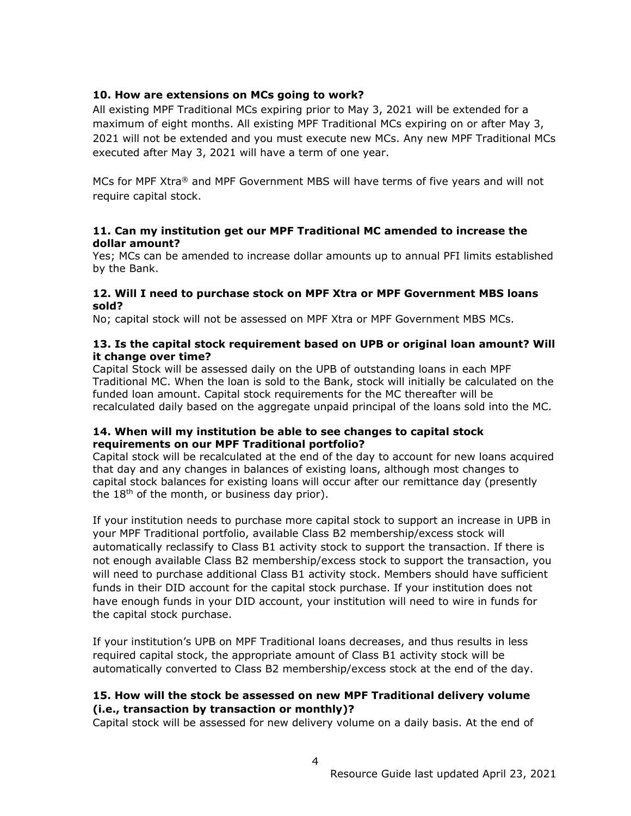#### **10. How are extensions on MCs going to work?**

All existing MPF Traditional MCs expiring prior to May 3, 2021 will be extended for a maximum of eight months. All existing MPF Traditional MCs expiring on or after May 3, 2021 will not be extended and you must execute new MCs. Any new MPF Traditional MCs executed after May 3, 2021 will have a term of one year.

MCs for MPF Xtra® and MPF Government MBS will have terms of five years and will not require capital stock.

#### **11. Can my institution get our MPF Traditional MC amended to increase the dollar amount?**

Yes; MCs can be amended to increase dollar amounts up to annual PFI limits established by the Bank.

#### **12. Will I need to purchase stock on MPF Xtra or MPF Government MBS loans sold?**

No; capital stock will not be assessed on MPF Xtra or MPF Government MBS MCs.

#### **13. Is the capital stock requirement based on UPB or original loan amount? Will it change over time?**

Capital Stock will be assessed daily on the UPB of outstanding loans in each MPF Traditional MC. When the loan is sold to the Bank, stock will initially be calculated on the funded loan amount. Capital stock requirements for the MC thereafter will be recalculated daily based on the aggregate unpaid principal of the loans sold into the MC.

#### **14. When will my institution be able to see changes to capital stock requirements on our MPF Traditional portfolio?**

Capital stock will be recalculated at the end of the day to account for new loans acquired that day and any changes in balances of existing loans, although most changes to capital stock balances for existing loans will occur after our remittance day (presently the  $18<sup>th</sup>$  of the month, or business day prior).

If your institution needs to purchase more capital stock to support an increase in UPB in your MPF Traditional portfolio, available Class B2 membership/excess stock will automatically reclassify to Class B1 activity stock to support the transaction. If there is not enough available Class B2 membership/excess stock to support the transaction, you will need to purchase additional Class B1 activity stock. Members should have sufficient funds in their DID account for the capital stock purchase. If your institution does not have enough funds in your DID account, your institution will need to wire in funds for the capital stock purchase.

If your institution's UPB on MPF Traditional loans decreases, and thus results in less required capital stock, the appropriate amount of Class B1 activity stock will be automatically converted to Class B2 membership/excess stock at the end of the day.

### **15. How will the stock be assessed on new MPF Traditional delivery volume (i.e., transaction by transaction or monthly)?**

Capital stock will be assessed for new delivery volume on a daily basis. At the end of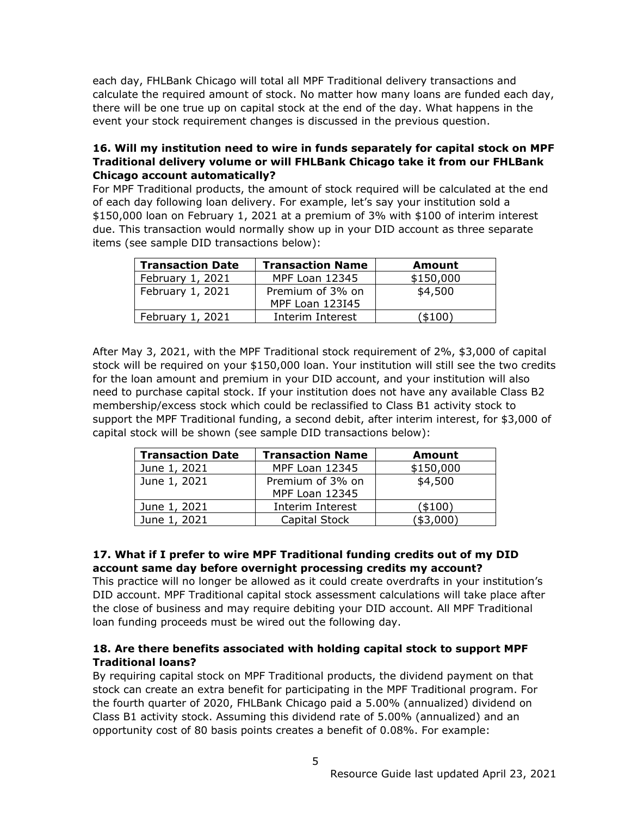each day, FHLBank Chicago will total all MPF Traditional delivery transactions and calculate the required amount of stock. No matter how many loans are funded each day, there will be one true up on capital stock at the end of the day. What happens in the event your stock requirement changes is discussed in the previous question.

# **16. Will my institution need to wire in funds separately for capital stock on MPF Traditional delivery volume or will FHLBank Chicago take it from our FHLBank Chicago account automatically?**

For MPF Traditional products, the amount of stock required will be calculated at the end of each day following loan delivery. For example, let's say your institution sold a \$150,000 loan on February 1, 2021 at a premium of 3% with \$100 of interim interest due. This transaction would normally show up in your DID account as three separate items (see sample DID transactions below):

| <b>Transaction Date</b> | <b>Transaction Name</b> | Amount    |
|-------------------------|-------------------------|-----------|
| February 1, 2021        | <b>MPF Loan 12345</b>   | \$150,000 |
| February 1, 2021        | Premium of 3% on        | \$4,500   |
|                         | <b>MPF Loan 123I45</b>  |           |
| February 1, 2021        | Interim Interest        | (\$100)   |

After May 3, 2021, with the MPF Traditional stock requirement of 2%, \$3,000 of capital stock will be required on your \$150,000 loan. Your institution will still see the two credits for the loan amount and premium in your DID account, and your institution will also need to purchase capital stock. If your institution does not have any available Class B2 membership/excess stock which could be reclassified to Class B1 activity stock to support the MPF Traditional funding, a second debit, after interim interest, for \$3,000 of capital stock will be shown (see sample DID transactions below):

| <b>Transaction Date</b> | <b>Transaction Name</b>                   | Amount     |
|-------------------------|-------------------------------------------|------------|
| June 1, 2021            | <b>MPF Loan 12345</b>                     | \$150,000  |
| June 1, 2021            | Premium of 3% on<br><b>MPF Loan 12345</b> | \$4,500    |
| June 1, 2021            | Interim Interest                          | $($ \$100) |
| June 1, 2021            | Capital Stock                             | (\$3,000)  |

# **17. What if I prefer to wire MPF Traditional funding credits out of my DID account same day before overnight processing credits my account?**

This practice will no longer be allowed as it could create overdrafts in your institution's DID account. MPF Traditional capital stock assessment calculations will take place after the close of business and may require debiting your DID account. All MPF Traditional loan funding proceeds must be wired out the following day.

# **18. Are there benefits associated with holding capital stock to support MPF Traditional loans?**

By requiring capital stock on MPF Traditional products, the dividend payment on that stock can create an extra benefit for participating in the MPF Traditional program. For the fourth quarter of 2020, FHLBank Chicago paid a 5.00% (annualized) dividend on Class B1 activity stock. Assuming this dividend rate of 5.00% (annualized) and an opportunity cost of 80 basis points creates a benefit of 0.08%. For example: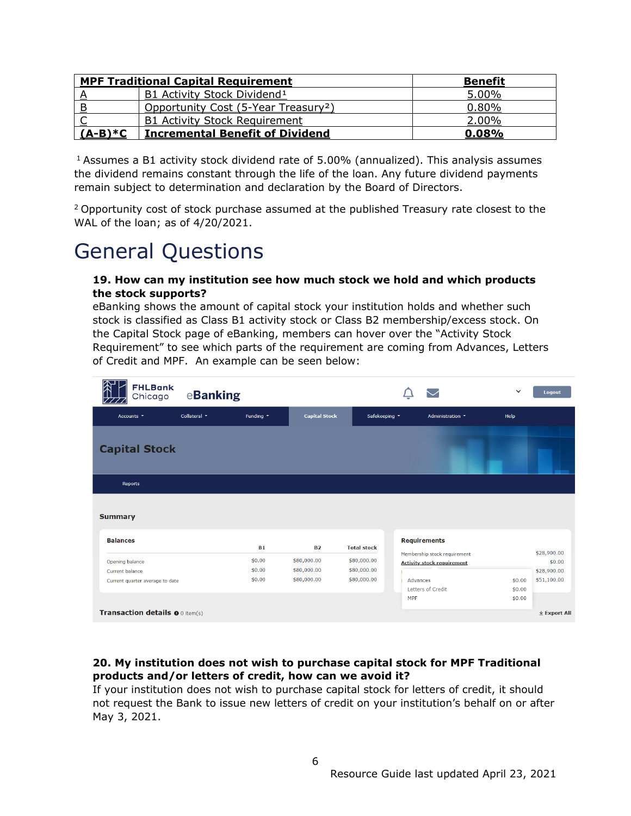|                | <b>MPF Traditional Capital Requirement</b>       | <b>Benefit</b> |
|----------------|--------------------------------------------------|----------------|
| $\overline{A}$ | B1 Activity Stock Dividend <sup>1</sup>          | 5.00%          |
|                | Opportunity Cost (5-Year Treasury <sup>2</sup> ) | 0.80%          |
|                | <b>B1 Activity Stock Requirement</b>             | $2.00\%$       |
| $(A-B)*C$      | <b>Incremental Benefit of Dividend</b>           | 0.08%          |

<sup>1</sup> Assumes a B1 activity stock dividend rate of  $5.00\%$  (annualized). This analysis assumes the dividend remains constant through the life of the loan. Any future dividend payments remain subject to determination and declaration by the Board of Directors.

<sup>2</sup> Opportunity cost of stock purchase assumed at the published Treasury rate closest to the WAL of the loan; as of 4/20/2021.

# General Questions

#### **19. How can my institution see how much stock we hold and which products the stock supports?**

eBanking shows the amount of capital stock your institution holds and whether such stock is classified as Class B1 activity stock or Class B2 membership/excess stock. On the Capital Stock page of eBanking, members can hover over the "Activity Stock Requirement" to see which parts of the requirement are coming from Advances, Letters of Credit and MPF. An example can be seen below:

| <b>FHLBank</b><br>Chicago              | eBanking     |           |                      |                    |                                      | $\check{~}$                | Logout                |
|----------------------------------------|--------------|-----------|----------------------|--------------------|--------------------------------------|----------------------------|-----------------------|
| Accounts -                             | Collateral * | Funding * | <b>Capital Stock</b> | Safekeeping *      | Administration -                     | Help                       |                       |
| <b>Capital Stock</b>                   |              |           |                      |                    |                                      |                            |                       |
| <b>Reports</b>                         |              |           |                      |                    |                                      |                            |                       |
| <b>Summary</b><br><b>Balances</b>      |              | <b>B1</b> | <b>B2</b>            | <b>Total stock</b> | <b>Requirements</b>                  |                            |                       |
| Opening balance                        |              | \$0.00    | \$80,000.00          | \$80,000.00        | Membership stock requirement         |                            | \$28,900.00<br>\$0.00 |
| Current balance                        |              | \$0.00    | \$80,000.00          | \$80,000.00        | <b>Activity stock requirement</b>    |                            | \$28,900.00           |
| Current quarter average to date        |              | \$0.00    | \$80,000.00          | \$80,000.00        | Advances<br>Letters of Credit<br>MPF | \$0.00<br>\$0.00<br>\$0.00 | \$51,100.00           |
| <b>Transaction details @ 0 item(s)</b> |              |           |                      |                    |                                      |                            | $\perp$ Export All    |

# **20. My institution does not wish to purchase capital stock for MPF Traditional products and/or letters of credit, how can we avoid it?**

If your institution does not wish to purchase capital stock for letters of credit, it should not request the Bank to issue new letters of credit on your institution's behalf on or after May 3, 2021.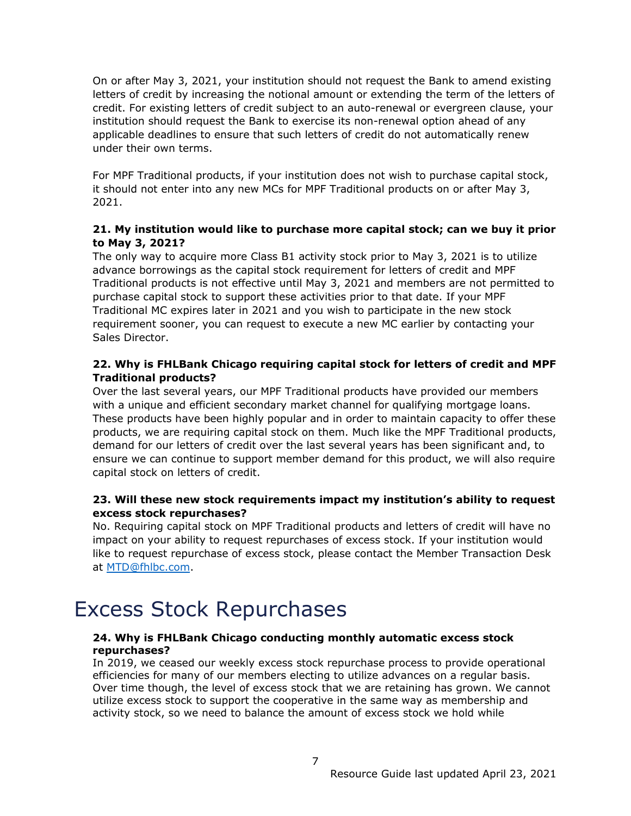On or after May 3, 2021, your institution should not request the Bank to amend existing letters of credit by increasing the notional amount or extending the term of the letters of credit. For existing letters of credit subject to an auto-renewal or evergreen clause, your institution should request the Bank to exercise its non-renewal option ahead of any applicable deadlines to ensure that such letters of credit do not automatically renew under their own terms.

For MPF Traditional products, if your institution does not wish to purchase capital stock, it should not enter into any new MCs for MPF Traditional products on or after May 3, 2021.

## **21. My institution would like to purchase more capital stock; can we buy it prior to May 3, 2021?**

The only way to acquire more Class B1 activity stock prior to May 3, 2021 is to utilize advance borrowings as the capital stock requirement for letters of credit and MPF Traditional products is not effective until May 3, 2021 and members are not permitted to purchase capital stock to support these activities prior to that date. If your MPF Traditional MC expires later in 2021 and you wish to participate in the new stock requirement sooner, you can request to execute a new MC earlier by contacting your Sales Director.

## **22. Why is FHLBank Chicago requiring capital stock for letters of credit and MPF Traditional products?**

Over the last several years, our MPF Traditional products have provided our members with a unique and efficient secondary market channel for qualifying mortgage loans. These products have been highly popular and in order to maintain capacity to offer these products, we are requiring capital stock on them. Much like the MPF Traditional products, demand for our letters of credit over the last several years has been significant and, to ensure we can continue to support member demand for this product, we will also require capital stock on letters of credit.

# **23. Will these new stock requirements impact my institution's ability to request excess stock repurchases?**

No. Requiring capital stock on MPF Traditional products and letters of credit will have no impact on your ability to request repurchases of excess stock. If your institution would like to request repurchase of excess stock, please contact the Member Transaction Desk at [MTD@fhlbc.com.](mailto:MTD@fhlbc.com)

# Excess Stock Repurchases

#### **24. Why is FHLBank Chicago conducting monthly automatic excess stock repurchases?**

In 2019, we ceased our weekly excess stock repurchase process to provide operational efficiencies for many of our members electing to utilize advances on a regular basis. Over time though, the level of excess stock that we are retaining has grown. We cannot utilize excess stock to support the cooperative in the same way as membership and activity stock, so we need to balance the amount of excess stock we hold while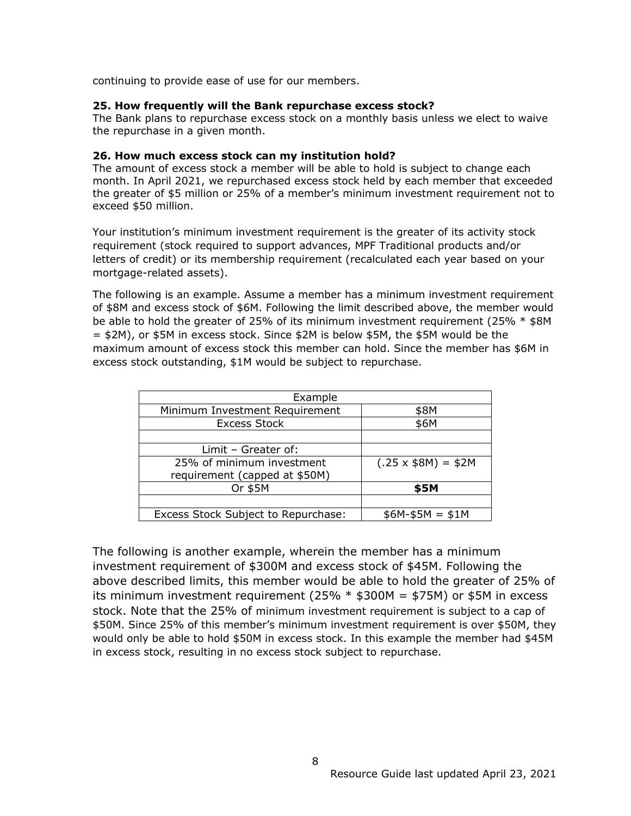continuing to provide ease of use for our members.

#### **25. How frequently will the Bank repurchase excess stock?**

The Bank plans to repurchase excess stock on a monthly basis unless we elect to waive the repurchase in a given month.

#### **26. How much excess stock can my institution hold?**

The amount of excess stock a member will be able to hold is subject to change each month. In April 2021, we repurchased excess stock held by each member that exceeded the greater of \$5 million or 25% of a member's minimum investment requirement not to exceed \$50 million.

Your institution's minimum investment requirement is the greater of its activity stock requirement (stock required to support advances, MPF Traditional products and/or letters of credit) or its membership requirement (recalculated each year based on your mortgage-related assets).

The following is an example. Assume a member has a minimum investment requirement of \$8M and excess stock of \$6M. Following the limit described above, the member would be able to hold the greater of 25% of its minimum investment requirement (25% \* \$8M = \$2M), or \$5M in excess stock. Since \$2M is below \$5M, the \$5M would be the maximum amount of excess stock this member can hold. Since the member has \$6M in excess stock outstanding, \$1M would be subject to repurchase.

| Example                             |                          |
|-------------------------------------|--------------------------|
| Minimum Investment Requirement      | \$8M                     |
| <b>Excess Stock</b>                 | \$6M                     |
|                                     |                          |
| Limit - Greater of:                 |                          |
| 25% of minimum investment           | $(.25 \times $8M) = $2M$ |
| requirement (capped at \$50M)       |                          |
| Or \$5M                             | \$5M                     |
|                                     |                          |
| Excess Stock Subject to Repurchase: | $$6M-$5M = $1M$          |

The following is another example, wherein the member has a minimum investment requirement of \$300M and excess stock of \$45M. Following the above described limits, this member would be able to hold the greater of 25% of its minimum investment requirement ( $25\% * $300M = $75M$ ) or \$5M in excess stock. Note that the 25% of minimum investment requirement is subject to a cap of \$50M. Since 25% of this member's minimum investment requirement is over \$50M, they would only be able to hold \$50M in excess stock. In this example the member had \$45M in excess stock, resulting in no excess stock subject to repurchase.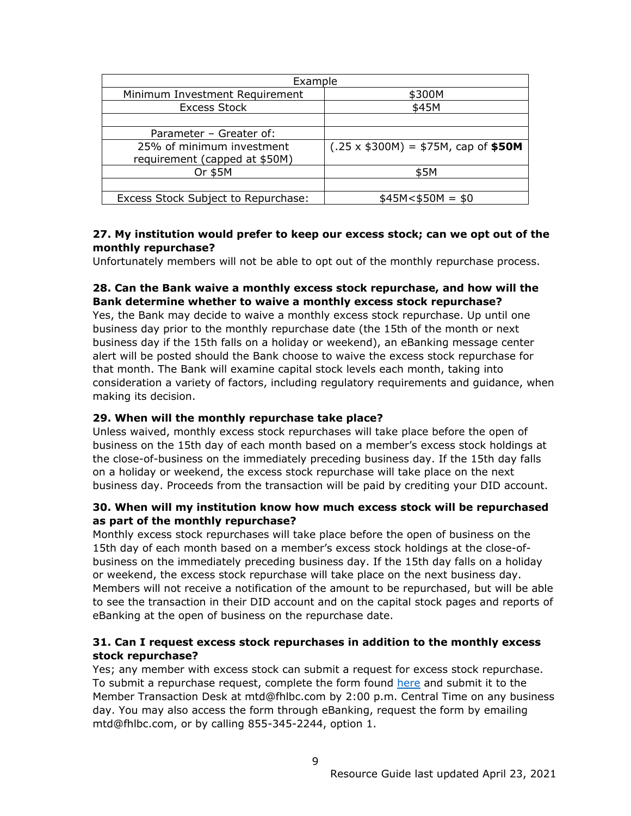| Example                             |                                            |  |  |  |  |
|-------------------------------------|--------------------------------------------|--|--|--|--|
| Minimum Investment Requirement      | \$300M                                     |  |  |  |  |
| <b>Excess Stock</b>                 | \$45M                                      |  |  |  |  |
|                                     |                                            |  |  |  |  |
| Parameter - Greater of:             |                                            |  |  |  |  |
| 25% of minimum investment           | $(.25 \times $300M) = $75M$ , cap of \$50M |  |  |  |  |
| requirement (capped at \$50M)       |                                            |  |  |  |  |
| Or \$5M                             | \$5M                                       |  |  |  |  |
|                                     |                                            |  |  |  |  |
| Excess Stock Subject to Repurchase: | $$45M < $50M = $0$                         |  |  |  |  |

#### **27. My institution would prefer to keep our excess stock; can we opt out of the monthly repurchase?**

Unfortunately members will not be able to opt out of the monthly repurchase process.

### **28. Can the Bank waive a monthly excess stock repurchase, and how will the Bank determine whether to waive a monthly excess stock repurchase?**

Yes, the Bank may decide to waive a monthly excess stock repurchase. Up until one business day prior to the monthly repurchase date (the 15th of the month or next business day if the 15th falls on a holiday or weekend), an eBanking message center alert will be posted should the Bank choose to waive the excess stock repurchase for that month. The Bank will examine capital stock levels each month, taking into consideration a variety of factors, including regulatory requirements and guidance, when making its decision.

### **29. When will the monthly repurchase take place?**

Unless waived, monthly excess stock repurchases will take place before the open of business on the 15th day of each month based on a member's excess stock holdings at the close-of-business on the immediately preceding business day. If the 15th day falls on a holiday or weekend, the excess stock repurchase will take place on the next business day. Proceeds from the transaction will be paid by crediting your DID account.

### **30. When will my institution know how much excess stock will be repurchased as part of the monthly repurchase?**

Monthly excess stock repurchases will take place before the open of business on the 15th day of each month based on a member's excess stock holdings at the close-ofbusiness on the immediately preceding business day. If the 15th day falls on a holiday or weekend, the excess stock repurchase will take place on the next business day. Members will not receive a notification of the amount to be repurchased, but will be able to see the transaction in their DID account and on the capital stock pages and reports of eBanking at the open of business on the repurchase date.

# **31. Can I request excess stock repurchases in addition to the monthly excess stock repurchase?**

Yes; any member with excess stock can submit a request for excess stock repurchase. To submit a repurchase request, complete the form found [here](https://fhlbc.com/docs/default-source/news/2019-news/excessstockrepurchasefaqoctober2019.pdf) and submit it to the Member Transaction Desk at [mtd@fhlbc.com](mailto:mtd@fhlbc.com) by 2:00 p.m. Central Time on any business day. You may also access the form through eBanking, request the form by emailing [mtd@fhlbc.com,](mailto:mtd@fhlbc.com) or by calling 855-345-2244, option 1.